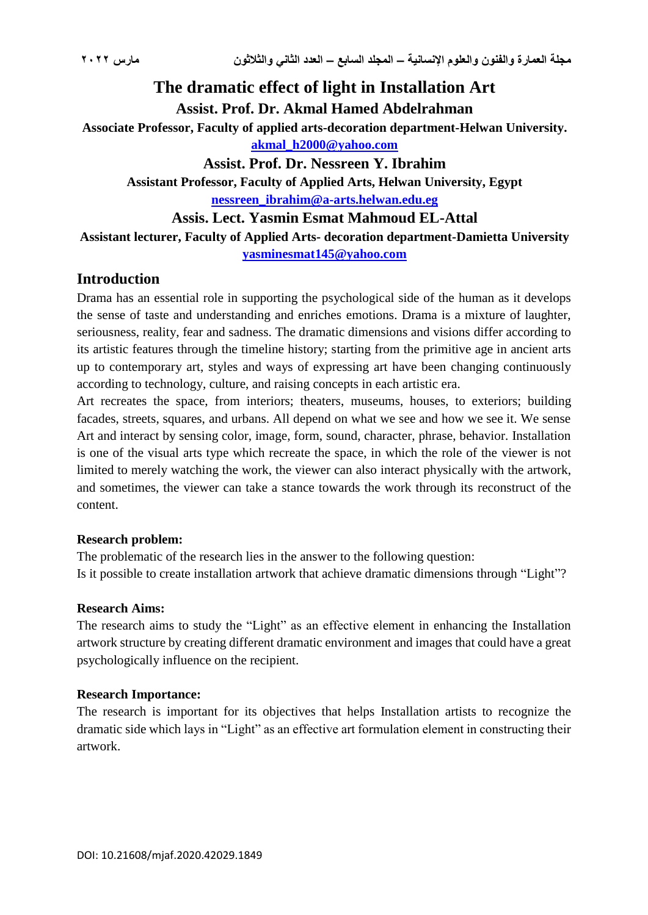# **The dramatic effect of light in Installation Art Assist. Prof. Dr. Akmal Hamed Abdelrahman**

**Associate Professor, Faculty of applied arts-decoration department-Helwan University. [akmal\\_h2000@yahoo.com](mailto:akmal_h2000@yahoo.com)**

**Assist. Prof. Dr. Nessreen Y. Ibrahim Assistant Professor, Faculty of Applied Arts, Helwan University, Egypt [nessreen\\_ibrahim@a-arts.helwan.edu.eg](mailto:nessreen_ibrahim@a-arts.helwan.edu.eg)**

**Assis. Lect. Yasmin Esmat Mahmoud EL-Attal**

**Assistant lecturer, Faculty of Applied Arts- decoration department-Damietta University [yasminesmat145@yahoo.com](mailto:yasminesmat145@yahoo.com)**

## **Introduction**

Drama has an essential role in supporting the psychological side of the human as it develops the sense of taste and understanding and enriches emotions. Drama is a mixture of laughter, seriousness, reality, fear and sadness. The dramatic dimensions and visions differ according to its artistic features through the timeline history; starting from the primitive age in ancient arts up to contemporary art, styles and ways of expressing art have been changing continuously according to technology, culture, and raising concepts in each artistic era.

Art recreates the space, from interiors; theaters, museums, houses, to exteriors; building facades, streets, squares, and urbans. All depend on what we see and how we see it. We sense Art and interact by sensing color, image, form, sound, character, phrase, behavior. Installation is one of the visual arts type which recreate the space, in which the role of the viewer is not limited to merely watching the work, the viewer can also interact physically with the artwork, and sometimes, the viewer can take a stance towards the work through its reconstruct of the content.

#### **Research problem:**

The problematic of the research lies in the answer to the following question: Is it possible to create installation artwork that achieve dramatic dimensions through "Light"?

#### **Research Aims:**

The research aims to study the "Light" as an effective element in enhancing the Installation artwork structure by creating different dramatic environment and images that could have a great psychologically influence on the recipient.

#### **Research Importance:**

The research is important for its objectives that helps Installation artists to recognize the dramatic side which lays in "Light" as an effective art formulation element in constructing their artwork.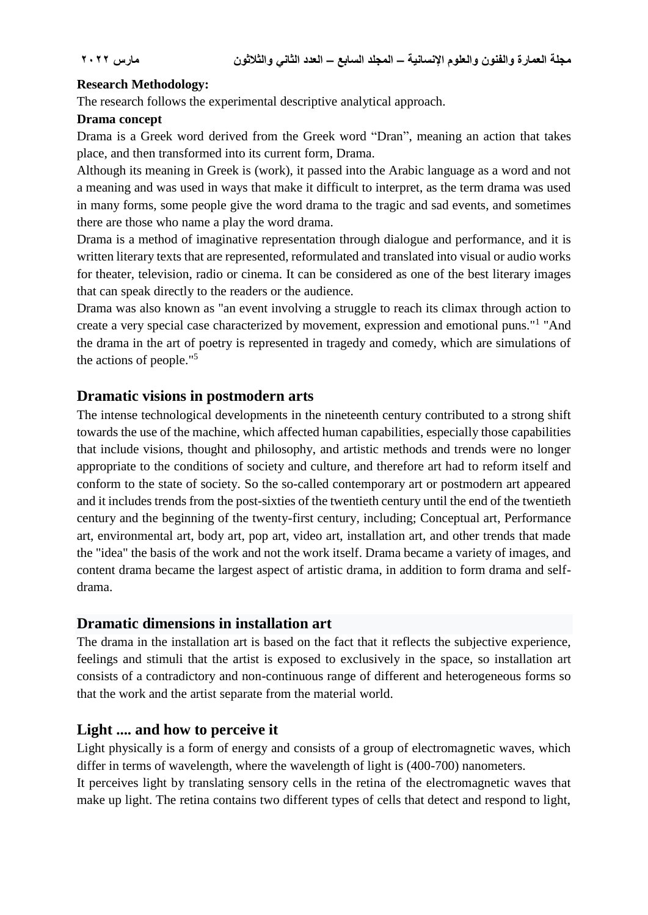#### **Research Methodology:**

The research follows the experimental descriptive analytical approach.

## **Drama concept**

Drama is a Greek word derived from the Greek word "Dran", meaning an action that takes place, and then transformed into its current form, Drama.

Although its meaning in Greek is (work), it passed into the Arabic language as a word and not a meaning and was used in ways that make it difficult to interpret, as the term drama was used in many forms, some people give the word drama to the tragic and sad events, and sometimes there are those who name a play the word drama.

Drama is a method of imaginative representation through dialogue and performance, and it is written literary texts that are represented, reformulated and translated into visual or audio works for theater, television, radio or cinema. It can be considered as one of the best literary images that can speak directly to the readers or the audience.

Drama was also known as "an event involving a struggle to reach its climax through action to create a very special case characterized by movement, expression and emotional puns."<sup>1</sup> "And the drama in the art of poetry is represented in tragedy and comedy, which are simulations of the actions of people."<sup>5</sup>

## **Dramatic visions in postmodern arts**

The intense technological developments in the nineteenth century contributed to a strong shift towards the use of the machine, which affected human capabilities, especially those capabilities that include visions, thought and philosophy, and artistic methods and trends were no longer appropriate to the conditions of society and culture, and therefore art had to reform itself and conform to the state of society. So the so-called contemporary art or postmodern art appeared and it includes trends from the post-sixties of the twentieth century until the end of the twentieth century and the beginning of the twenty-first century, including; Conceptual art, Performance art, environmental art, body art, pop art, video art, installation art, and other trends that made the "idea" the basis of the work and not the work itself. Drama became a variety of images, and content drama became the largest aspect of artistic drama, in addition to form drama and selfdrama.

## **Dramatic dimensions in installation art**

The drama in the installation art is based on the fact that it reflects the subjective experience, feelings and stimuli that the artist is exposed to exclusively in the space, so installation art consists of a contradictory and non-continuous range of different and heterogeneous forms so that the work and the artist separate from the material world.

## **Light .... and how to perceive it**

Light physically is a form of energy and consists of a group of electromagnetic waves, which differ in terms of wavelength, where the wavelength of light is (400-700) nanometers.

It perceives light by translating sensory cells in the retina of the electromagnetic waves that make up light. The retina contains two different types of cells that detect and respond to light,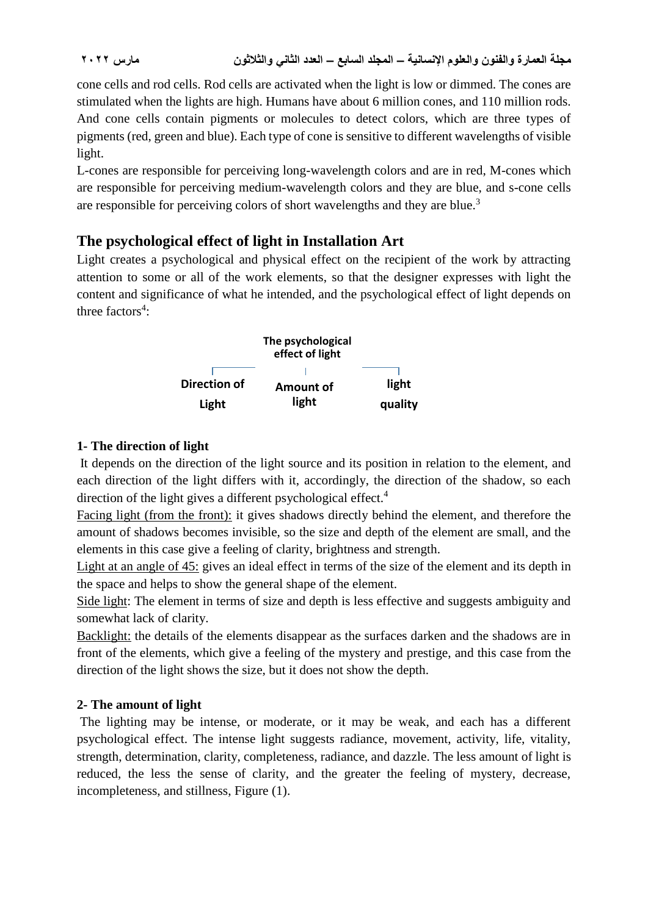cone cells and rod cells. Rod cells are activated when the light is low or dimmed. The cones are stimulated when the lights are high. Humans have about 6 million cones, and 110 million rods. And cone cells contain pigments or molecules to detect colors, which are three types of pigments (red, green and blue). Each type of cone is sensitive to different wavelengths of visible light.

L-cones are responsible for perceiving long-wavelength colors and are in red, M-cones which are responsible for perceiving medium-wavelength colors and they are blue, and s-cone cells are responsible for perceiving colors of short wavelengths and they are blue.<sup>3</sup>

## **The psychological effect of light in Installation Art**

Light creates a psychological and physical effect on the recipient of the work by attracting attention to some or all of the work elements, so that the designer expresses with light the content and significance of what he intended, and the psychological effect of light depends on three  $factors<sup>4</sup>$ :



## **1- The direction of light**

It depends on the direction of the light source and its position in relation to the element, and each direction of the light differs with it, accordingly, the direction of the shadow, so each direction of the light gives a different psychological effect.<sup>4</sup>

Facing light (from the front): it gives shadows directly behind the element, and therefore the amount of shadows becomes invisible, so the size and depth of the element are small, and the elements in this case give a feeling of clarity, brightness and strength.

Light at an angle of 45: gives an ideal effect in terms of the size of the element and its depth in the space and helps to show the general shape of the element.

Side light: The element in terms of size and depth is less effective and suggests ambiguity and somewhat lack of clarity.

Backlight: the details of the elements disappear as the surfaces darken and the shadows are in front of the elements, which give a feeling of the mystery and prestige, and this case from the direction of the light shows the size, but it does not show the depth.

## **2- The amount of light**

The lighting may be intense, or moderate, or it may be weak, and each has a different psychological effect. The intense light suggests radiance, movement, activity, life, vitality, strength, determination, clarity, completeness, radiance, and dazzle. The less amount of light is reduced, the less the sense of clarity, and the greater the feeling of mystery, decrease, incompleteness, and stillness, Figure (1).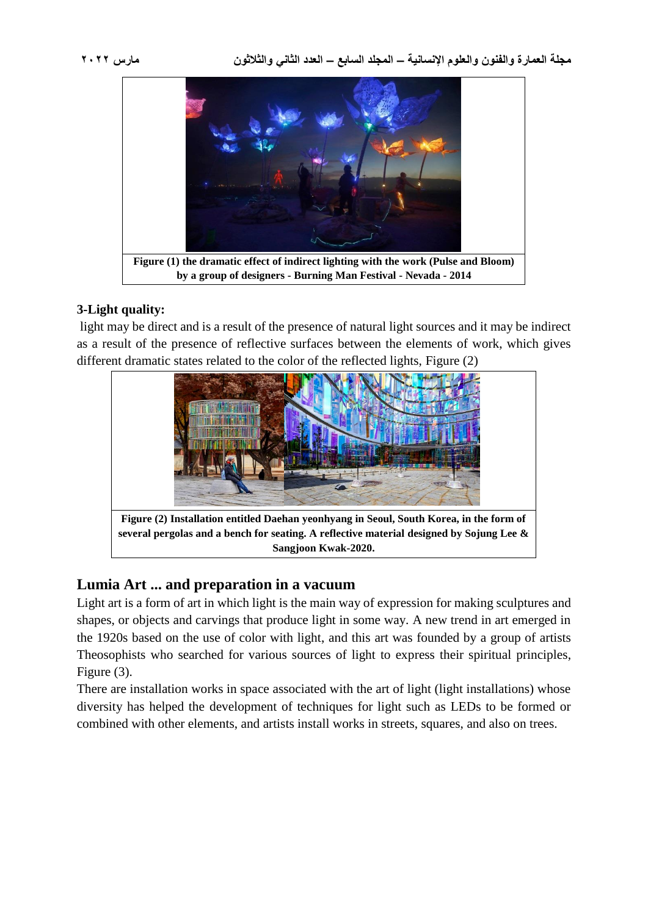

## **3-Light quality:**

light may be direct and is a result of the presence of natural light sources and it may be indirect as a result of the presence of reflective surfaces between the elements of work, which gives different dramatic states related to the color of the reflected lights, Figure (2)



## **Lumia Art ... and preparation in a vacuum**

Light art is a form of art in which light is the main way of expression for making sculptures and shapes, or objects and carvings that produce light in some way. A new trend in art emerged in the 1920s based on the use of color with light, and this art was founded by a group of artists Theosophists who searched for various sources of light to express their spiritual principles, Figure (3).

There are installation works in space associated with the art of light (light installations) whose diversity has helped the development of techniques for light such as LEDs to be formed or combined with other elements, and artists install works in streets, squares, and also on trees.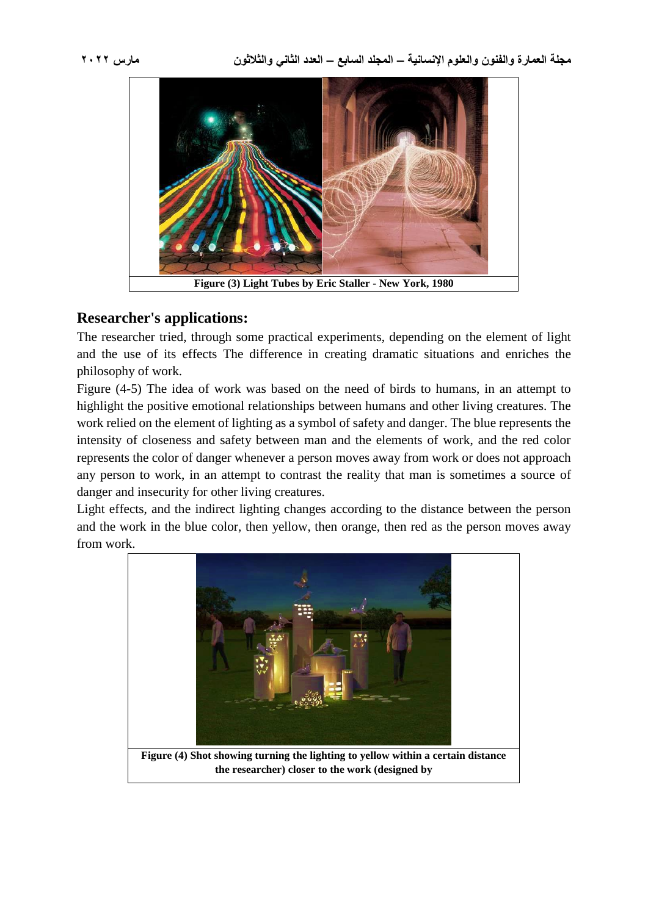

## **Researcher's applications:**

The researcher tried, through some practical experiments, depending on the element of light and the use of its effects The difference in creating dramatic situations and enriches the philosophy of work.

Figure (4-5) The idea of work was based on the need of birds to humans, in an attempt to highlight the positive emotional relationships between humans and other living creatures. The work relied on the element of lighting as a symbol of safety and danger. The blue represents the intensity of closeness and safety between man and the elements of work, and the red color represents the color of danger whenever a person moves away from work or does not approach any person to work, in an attempt to contrast the reality that man is sometimes a source of danger and insecurity for other living creatures.

Light effects, and the indirect lighting changes according to the distance between the person and the work in the blue color, then yellow, then orange, then red as the person moves away from work.